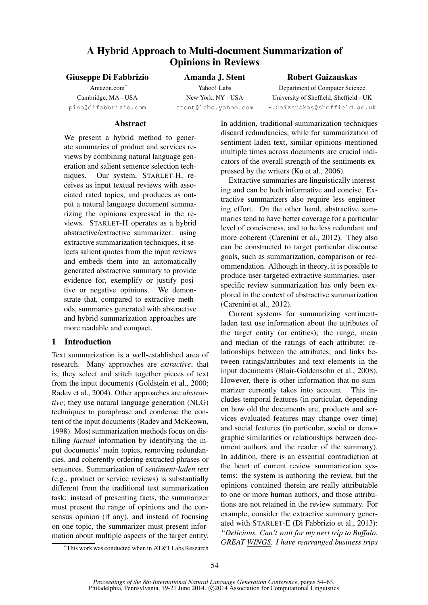# A Hybrid Approach to Multi-document Summarization of Opinions in Reviews

Giuseppe Di Fabbrizio

Amazon.com∗ Cambridge, MA - USA pino@difabbrizio.com

# Amanda J. Stent Yahoo! Labs New York, NY - USA

stent@labs.yahoo.com

# Robert Gaizauskas

Department of Computer Science University of Sheffield, Sheffield - UK R.Gaizauskas@sheffield.ac.uk

## Abstract

We present a hybrid method to generate summaries of product and services reviews by combining natural language generation and salient sentence selection techniques. Our system, STARLET-H, receives as input textual reviews with associated rated topics, and produces as output a natural language document summarizing the opinions expressed in the reviews. STARLET-H operates as a hybrid abstractive/extractive summarizer: using extractive summarization techniques, it selects salient quotes from the input reviews and embeds them into an automatically generated abstractive summary to provide evidence for, exemplify or justify positive or negative opinions. We demonstrate that, compared to extractive methods, summaries generated with abstractive and hybrid summarization approaches are more readable and compact.

# 1 Introduction

Text summarization is a well-established area of research. Many approaches are *extractive*, that is, they select and stitch together pieces of text from the input documents (Goldstein et al., 2000; Radev et al., 2004). Other approaches are *abstractive*; they use natural language generation (NLG) techniques to paraphrase and condense the content of the input documents (Radev and McKeown, 1998). Most summarization methods focus on distilling *factual* information by identifying the input documents' main topics, removing redundancies, and coherently ordering extracted phrases or sentences. Summarization of *sentiment-laden text* (e.g., product or service reviews) is substantially different from the traditional text summarization task: instead of presenting facts, the summarizer must present the range of opinions and the consensus opinion (if any), and instead of focusing on one topic, the summarizer must present information about multiple aspects of the target entity. In addition, traditional summarization techniques discard redundancies, while for summarization of sentiment-laden text, similar opinions mentioned multiple times across documents are crucial indicators of the overall strength of the sentiments expressed by the writers (Ku et al., 2006).

Extractive summaries are linguistically interesting and can be both informative and concise. Extractive summarizers also require less engineering effort. On the other hand, abstractive summaries tend to have better coverage for a particular level of conciseness, and to be less redundant and more coherent (Carenini et al., 2012). They also can be constructed to target particular discourse goals, such as summarization, comparison or recommendation. Although in theory, it is possible to produce user-targeted extractive summaries, userspecific review summarization has only been explored in the context of abstractive summarization (Carenini et al., 2012).

Current systems for summarizing sentimentladen text use information about the attributes of the target entity (or entities); the range, mean and median of the ratings of each attribute; relationships between the attributes; and links between ratings/attributes and text elements in the input documents (Blair-Goldensohn et al., 2008). However, there is other information that no summarizer currently takes into account. This includes temporal features (in particular, depending on how old the documents are, products and services evaluated features may change over time) and social features (in particular, social or demographic similarities or relationships between document authors and the reader of the summary). In addition, there is an essential contradiction at the heart of current review summarization systems: the system is authoring the review, but the opinions contained therein are really attributable to one or more human authors, and those attributions are not retained in the review summary. For example, consider the extractive summary generated with STARLET-E (Di Fabbrizio et al., 2013): *"Delicious. Can't wait for my next trip to Buffalo. GREAT WINGS. I have rearranged business trips*

<sup>∗</sup>This work was conducted when in AT&T Labs Research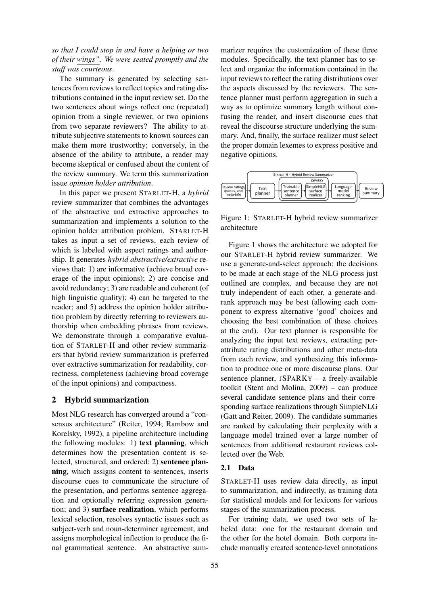*so that I could stop in and have a helping or two of their wings". We were seated promptly and the staff was courteous*.

The summary is generated by selecting sentences from reviews to reflect topics and rating distributions contained in the input review set. Do the two sentences about wings reflect one (repeated) opinion from a single reviewer, or two opinions from two separate reviewers? The ability to attribute subjective statements to known sources can make them more trustworthy; conversely, in the absence of the ability to attribute, a reader may become skeptical or confused about the content of the review summary. We term this summarization issue *opinion holder attribution*.

In this paper we present STARLET-H, a *hybrid* review summarizer that combines the advantages of the abstractive and extractive approaches to summarization and implements a solution to the opinion holder attribution problem. STARLET-H takes as input a set of reviews, each review of which is labeled with aspect ratings and authorship. It generates *hybrid abstractive/extractive* reviews that: 1) are informative (achieve broad coverage of the input opinions); 2) are concise and avoid redundancy; 3) are readable and coherent (of high linguistic quality); 4) can be targeted to the reader; and 5) address the opinion holder attribution problem by directly referring to reviewers authorship when embedding phrases from reviews. We demonstrate through a comparative evaluation of STARLET-H and other review summarizers that hybrid review summarization is preferred over extractive summarization for readability, correctness, completeness (achieving broad coverage of the input opinions) and compactness.

#### 2 Hybrid summarization

Most NLG research has converged around a "consensus architecture" (Reiter, 1994; Rambow and Korelsky, 1992), a pipeline architecture including the following modules: 1) text planning, which determines how the presentation content is selected, structured, and ordered; 2) sentence planning, which assigns content to sentences, inserts discourse cues to communicate the structure of the presentation, and performs sentence aggregation and optionally referring expression generation; and 3) surface realization, which performs lexical selection, resolves syntactic issues such as subject-verb and noun-determiner agreement, and assigns morphological inflection to produce the final grammatical sentence. An abstractive sum-

marizer requires the customization of these three modules. Specifically, the text planner has to select and organize the information contained in the input reviews to reflect the rating distributions over the aspects discussed by the reviewers. The sentence planner must perform aggregation in such a way as to optimize summary length without confusing the reader, and insert discourse cues that reveal the discourse structure underlying the summary. And, finally, the surface realizer must select the proper domain lexemes to express positive and negative opinions.



Figure 1: STARLET-H hybrid review summarizer architecture

Figure 1 shows the architecture we adopted for our STARLET-H hybrid review summarizer. We use a generate-and-select approach: the decisions to be made at each stage of the NLG process just outlined are complex, and because they are not truly independent of each other, a generate-andrank approach may be best (allowing each component to express alternative 'good' choices and choosing the best combination of these choices at the end). Our text planner is responsible for analyzing the input text reviews, extracting perattribute rating distributions and other meta-data from each review, and synthesizing this information to produce one or more discourse plans. Our sentence planner, JSPARKY - a freely-available toolkit (Stent and Molina, 2009) – can produce several candidate sentence plans and their corresponding surface realizations through SimpleNLG (Gatt and Reiter, 2009). The candidate summaries are ranked by calculating their perplexity with a language model trained over a large number of sentences from additional restaurant reviews collected over the Web.

## 2.1 Data

STARLET-H uses review data directly, as input to summarization, and indirectly, as training data for statistical models and for lexicons for various stages of the summarization process.

For training data, we used two sets of labeled data: one for the restaurant domain and the other for the hotel domain. Both corpora include manually created sentence-level annotations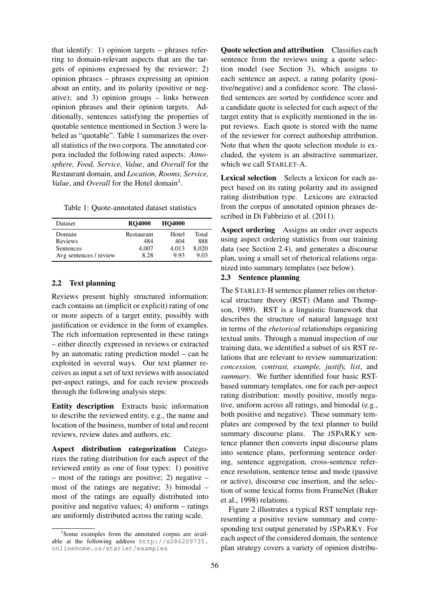that identify: 1) opinion targets – phrases referring to domain-relevant aspects that are the targets of opinions expressed by the reviewer; 2) opinion phrases – phrases expressing an opinion about an entity, and its polarity (positive or negative); and 3) opinion groups – links between opinion phrases and their opinion targets. Additionally, sentences satisfying the properties of quotable sentence mentioned in Section 3 were labeled as "quotable". Table 1 summarizes the overall statistics of the two corpora. The annotated corpora included the following rated aspects: *Atmosphere, Food, Service, Value*, and *Overall* for the Restaurant domain, and *Location, Rooms, Service,* Value, and Overall for the Hotel domain<sup>1</sup>.

| Table 1: Quote-annotated dataset statistics |  |  |
|---------------------------------------------|--|--|
|---------------------------------------------|--|--|

| <b>Dataset</b>         | <b>RO4000</b> | <b>HO4000</b> |       |
|------------------------|---------------|---------------|-------|
| Domain                 | Restaurant    | Hotel         | Total |
| <b>Reviews</b>         | 484           | 404           | 888   |
| <b>Sentences</b>       | 4.007         | 4.013         | 8.020 |
| Avg sentences / review | 8.28          | 993           | 9.03  |

### 2.2 Text planning

Reviews present highly structured information: each contains an (implicit or explicit) rating of one or more aspects of a target entity, possibly with justification or evidence in the form of examples. The rich information represented in these ratings – either directly expressed in reviews or extracted by an automatic rating prediction model – can be exploited in several ways. Our text planner receives as input a set of text reviews with associated per-aspect ratings, and for each review proceeds through the following analysis steps:

Entity description Extracts basic information to describe the reviewed entity, e.g., the name and location of the business, number of total and recent reviews, review dates and authors, etc.

Aspect distribution categorization Categorizes the rating distribution for each aspect of the reviewed entity as one of four types: 1) positive – most of the ratings are positive; 2) negative – most of the ratings are negative; 3) bimodal – most of the ratings are equally distributed into positive and negative values; 4) uniform – ratings are uniformly distributed across the rating scale.

Quote selection and attribution Classifies each sentence from the reviews using a quote selection model (see Section 3), which assigns to each sentence an aspect, a rating polarity (positive/negative) and a confidence score. The classified sentences are sorted by confidence score and a candidate quote is selected for each aspect of the target entity that is explicitly mentioned in the input reviews. Each quote is stored with the name of the reviewer for correct authorship attribution. Note that when the quote selection module is excluded, the system is an abstractive summarizer, which we call STARLET-A.

Lexical selection Selects a lexicon for each aspect based on its rating polarity and its assigned rating distribution type. Lexicons are extracted from the corpus of annotated opinion phrases described in Di Fabbrizio et al. (2011).

Aspect ordering Assigns an order over aspects using aspect ordering statistics from our training data (see Section 2.4), and generates a discourse plan, using a small set of rhetorical relations organized into summary templates (see below).

#### 2.3 Sentence planning

The STARLET-H sentence planner relies on rhetorical structure theory (RST) (Mann and Thompson, 1989). RST is a linguistic framework that describes the structure of natural language text in terms of the *rhetorical* relationships organizing textual units. Through a manual inspection of our training data, we identified a subset of six RST relations that are relevant to review summarization: *concession, contrast, example, justify, list*, and *summary*. We further identified four basic RSTbased summary templates, one for each per-aspect rating distribution: mostly positive, mostly negative, uniform across all ratings, and bimodal (e.g., both positive and negative). These summary templates are composed by the text planner to build summary discourse plans. The JSPARKY sentence planner then converts input discourse plans into sentence plans, performing sentence ordering, sentence aggregation, cross-sentence reference resolution, sentence tense and mode (passive or active), discourse cue insertion, and the selection of some lexical forms from FrameNet (Baker et al., 1998) relations.

Figure 2 illustrates a typical RST template representing a positive review summary and corresponding text output generated by JSPARKY. For each aspect of the considered domain, the sentence plan strategy covers a variety of opinion distribu-

<sup>&</sup>lt;sup>1</sup>Some examples from the annotated corpus are available at the following address http://s286209735. onlinehome.us/starlet/examples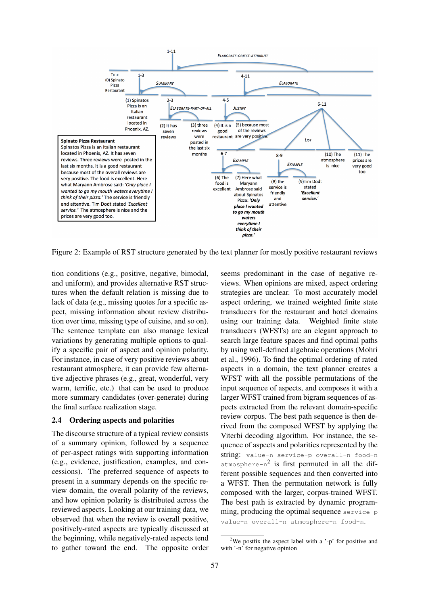

Figure 2: Example of RST structure generated by the text planner for mostly positive restaurant reviews

tion conditions (e.g., positive, negative, bimodal, and uniform), and provides alternative RST structures when the default relation is missing due to lack of data (e.g., missing quotes for a specific aspect, missing information about review distribution over time, missing type of cuisine, and so on). The sentence template can also manage lexical variations by generating multiple options to qualify a specific pair of aspect and opinion polarity. For instance, in case of very positive reviews about restaurant atmosphere, it can provide few alternative adjective phrases (e.g., great, wonderful, very warm, terrific, etc.) that can be used to produce more summary candidates (over-generate) during the final surface realization stage.

#### 2.4 Ordering aspects and polarities

The discourse structure of a typical review consists of a summary opinion, followed by a sequence of per-aspect ratings with supporting information (e.g., evidence, justification, examples, and concessions). The preferred sequence of aspects to present in a summary depends on the specific review domain, the overall polarity of the reviews, and how opinion polarity is distributed across the reviewed aspects. Looking at our training data, we observed that when the review is overall positive, positively-rated aspects are typically discussed at the beginning, while negatively-rated aspects tend to gather toward the end. The opposite order seems predominant in the case of negative reviews. When opinions are mixed, aspect ordering strategies are unclear. To most accurately model aspect ordering, we trained weighted finite state transducers for the restaurant and hotel domains using our training data. Weighted finite state transducers (WFSTs) are an elegant approach to search large feature spaces and find optimal paths by using well-defined algebraic operations (Mohri et al., 1996). To find the optimal ordering of rated aspects in a domain, the text planner creates a WFST with all the possible permutations of the input sequence of aspects, and composes it with a larger WFST trained from bigram sequences of aspects extracted from the relevant domain-specific review corpus. The best path sequence is then derived from the composed WFST by applying the Viterbi decoding algorithm. For instance, the sequence of aspects and polarities represented by the string: value-n service-p overall-n food-n  $atmosphere-n<sup>2</sup>$  is first permuted in all the different possible sequences and then converted into a WFST. Then the permutation network is fully composed with the larger, corpus-trained WFST. The best path is extracted by dynamic programming, producing the optimal sequence service-p value-n overall-n atmosphere-n food-n.

<sup>&</sup>lt;sup>2</sup>We postfix the aspect label with a  $\cdot$ -p' for positive and with '-n' for negative opinion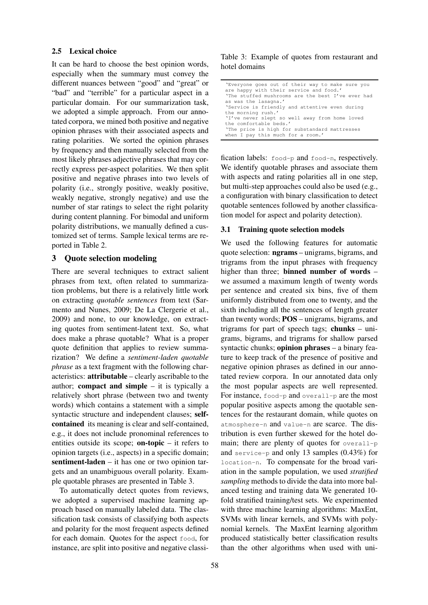#### 2.5 Lexical choice

It can be hard to choose the best opinion words, especially when the summary must convey the different nuances between "good" and "great" or "bad" and "terrible" for a particular aspect in a particular domain. For our summarization task, we adopted a simple approach. From our annotated corpora, we mined both positive and negative opinion phrases with their associated aspects and rating polarities. We sorted the opinion phrases by frequency and then manually selected from the most likely phrases adjective phrases that may correctly express per-aspect polarities. We then split positive and negative phrases into two levels of polarity (i.e., strongly positive, weakly positive, weakly negative, strongly negative) and use the number of star ratings to select the right polarity during content planning. For bimodal and uniform polarity distributions, we manually defined a customized set of terms. Sample lexical terms are reported in Table 2.

#### 3 Quote selection modeling

There are several techniques to extract salient phrases from text, often related to summarization problems, but there is a relatively little work on extracting *quotable sentences* from text (Sarmento and Nunes, 2009; De La Clergerie et al., 2009) and none, to our knowledge, on extracting quotes from sentiment-latent text. So, what does make a phrase quotable? What is a proper quote definition that applies to review summarization? We define a *sentiment-laden quotable phrase* as a text fragment with the following characteristics: attributable – clearly ascribable to the author; **compact and simple**  $-$  it is typically a relatively short phrase (between two and twenty words) which contains a statement with a simple syntactic structure and independent clauses; selfcontained its meaning is clear and self-contained, e.g., it does not include pronominal references to entities outside its scope; **on-topic** – it refers to opinion targets (i.e., aspects) in a specific domain; sentiment-laden – it has one or two opinion targets and an unambiguous overall polarity. Example quotable phrases are presented in Table 3.

To automatically detect quotes from reviews, we adopted a supervised machine learning approach based on manually labeled data. The classification task consists of classifying both aspects and polarity for the most frequent aspects defined for each domain. Quotes for the aspect food, for instance, are split into positive and negative classi-

### Table 3: Example of quotes from restaurant and hotel domains

| 'Everyone goes out of their way to make sure you  |  |  |  |  |
|---------------------------------------------------|--|--|--|--|
| are happy with their service and food.'           |  |  |  |  |
| 'The stuffed mushrooms are the best I've ever had |  |  |  |  |
| as was the lasagna.'                              |  |  |  |  |
| 'Service is friendly and attentive even during    |  |  |  |  |
| the morning rush.'                                |  |  |  |  |
| 'I've never slept so well away from home loved    |  |  |  |  |
| the comfortable beds.'                            |  |  |  |  |
| 'The price is high for substandard mattresses     |  |  |  |  |
| when I pay this much for a room.'                 |  |  |  |  |

fication labels: food-p and food-n, respectively. We identify quotable phrases and associate them with aspects and rating polarities all in one step, but multi-step approaches could also be used (e.g., a configuration with binary classification to detect quotable sentences followed by another classification model for aspect and polarity detection).

#### 3.1 Training quote selection models

We used the following features for automatic quote selection: ngrams – unigrams, bigrams, and trigrams from the input phrases with frequency higher than three; **binned number of words** – we assumed a maximum length of twenty words per sentence and created six bins, five of them uniformly distributed from one to twenty, and the sixth including all the sentences of length greater than twenty words; POS – unigrams, bigrams, and trigrams for part of speech tags; chunks – unigrams, bigrams, and trigrams for shallow parsed syntactic chunks; opinion phrases – a binary feature to keep track of the presence of positive and negative opinion phrases as defined in our annotated review corpora. In our annotated data only the most popular aspects are well represented. For instance, food-p and overall-p are the most popular positive aspects among the quotable sentences for the restaurant domain, while quotes on atmosphere-n and value-n are scarce. The distribution is even further skewed for the hotel domain; there are plenty of quotes for overall-p and service-p and only 13 samples (0.43%) for location-n. To compensate for the broad variation in the sample population, we used *stratified sampling* methods to divide the data into more balanced testing and training data We generated 10 fold stratified training/test sets. We experimented with three machine learning algorithms: MaxEnt, SVMs with linear kernels, and SVMs with polynomial kernels. The MaxEnt learning algorithm produced statistically better classification results than the other algorithms when used with uni-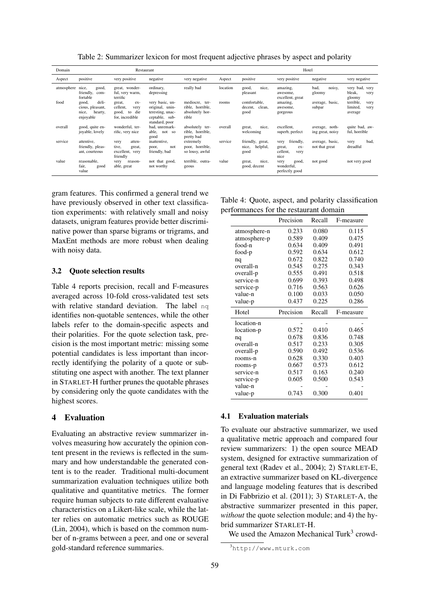| Domain     |                                                                     | Restaurant                                                                   |                                                                                            |                                                                |          |                                               |                                                                  | Hotel                              |                                                  |
|------------|---------------------------------------------------------------------|------------------------------------------------------------------------------|--------------------------------------------------------------------------------------------|----------------------------------------------------------------|----------|-----------------------------------------------|------------------------------------------------------------------|------------------------------------|--------------------------------------------------|
| Aspect     | positive                                                            | very positive                                                                | negative                                                                                   | very negative                                                  | Aspect   | positive                                      | very positive                                                    | negative                           | very negative                                    |
| atmosphere | nice,<br>good,<br>friendly,<br>com-<br>fortable                     | great, wonder-<br>ful, very warm,<br>terrific                                | ordinary,<br>depressing                                                                    | really bad                                                     | location | good,<br>nice,<br>pleasant                    | amazing,<br>awesome,<br>excellent, great                         | bad,<br>noisy,<br>gloomy           | very bad, very<br>bleak,<br>very<br>gloomy       |
| food       | deli-<br>good,<br>cious, pleasant,<br>nice,<br>hearty,<br>enjoyable | great,<br>$ex-$<br>cellent,<br>very<br>die<br>good,<br>to<br>for, incredible | very basic, un-<br>original, unin-<br>teresting, unac-<br>ceptable, sub-<br>standard, poor | mediocre, ter-<br>rible, horrible,<br>absolutely hor-<br>rible | rooms    | comfortable.<br>clean,<br>decent,<br>good     | amazing,<br>awesome,<br>gorgeous                                 | average, basic,<br>subpar          | terrible,<br>very<br>limited,<br>very<br>average |
| overall    | good, quite en-<br>joyable, lovely                                  | wonderful, ter-<br>rific, very nice                                          | bad, unremark-<br>able,<br>not so<br>good                                                  | absolutely ter-<br>rible, horrible,<br>pretty bad              | overall  | nice,<br>great,<br>welcoming                  | excellent,<br>superb, perfect                                    | average, noth-<br>ing great, noisy | quite bad, aw-<br>ful, horrible                  |
| service    | attentive,<br>friendly, pleas-<br>ant, courteous                    | atten-<br>very<br>tive,<br>great,<br>excellent, very<br>friendly             | inattentive,<br>not<br>poor,<br>friendly, bad                                              | extremely<br>poor, horrible,<br>so lousy, awful                | service  | friendly, great,<br>helpful,<br>nice,<br>good | friendly,<br>very<br>great,<br>$ex-$<br>cellent,<br>very<br>nice | average, basic,<br>not that great  | bad.<br>very<br>dreadful                         |
| value      | reasonable,<br>fair,<br>good<br>value                               | reason-<br>very<br>able, great                                               | not that good,<br>not worthy                                                               | terrible, outra-<br>geous                                      | value    | nice,<br>great,<br>good, decent               | good,<br>very<br>wonderful,<br>perfectly good                    | not good                           | not very good                                    |

Table 2: Summarizer lexicon for most frequent adjective phrases by aspect and polarity

gram features. This confirmed a general trend we have previously observed in other text classification experiments: with relatively small and noisy datasets, unigram features provide better discriminative power than sparse bigrams or trigrams, and MaxEnt methods are more robust when dealing with noisy data.

#### 3.2 Quote selection results

Table 4 reports precision, recall and F-measures averaged across 10-fold cross-validated test sets with relative standard deviation. The label nq identifies non-quotable sentences, while the other labels refer to the domain-specific aspects and their polarities. For the quote selection task, precision is the most important metric: missing some potential candidates is less important than incorrectly identifying the polarity of a quote or substituting one aspect with another. The text planner in STARLET-H further prunes the quotable phrases by considering only the quote candidates with the highest scores.

#### 4 Evaluation

Evaluating an abstractive review summarizer involves measuring how accurately the opinion content present in the reviews is reflected in the summary and how understandable the generated content is to the reader. Traditional multi-document summarization evaluation techniques utilize both qualitative and quantitative metrics. The former require human subjects to rate different evaluative characteristics on a Likert-like scale, while the latter relies on automatic metrics such as ROUGE (Lin, 2004), which is based on the common number of n-grams between a peer, and one or several gold-standard reference summaries.

Table 4: Quote, aspect, and polarity classification performances for the restaurant domain

|              | Precision | Recall | F-measure |
|--------------|-----------|--------|-----------|
| atmosphere-n | 0.233     | 0.080  | 0.115     |
| atmosphere-p | 0.589     | 0.409  | 0.475     |
| food-n       | 0.634     | 0.409  | 0.491     |
| food-p       | 0.592     | 0.634  | 0.612     |
| nq           | 0.672     | 0.822  | 0.740     |
| overall-n    | 0.545     | 0.275  | 0.343     |
| overall-p    | 0.555     | 0.491  | 0.518     |
| service-n    | 0.699     | 0.393  | 0.498     |
| service-p    | 0.716     | 0.563  | 0.626     |
| value-n      | 0.100     | 0.033  | 0.050     |
| value-p      | 0.437     | 0.225  | 0.286     |
|              |           |        |           |
| Hotel        | Precision | Recall | F-measure |
| location-n   |           |        |           |
| location-p   | 0.572     | 0.410  | 0.465     |
| nq           | 0.678     | 0.836  | 0.748     |
| overall-n    | 0.517     | 0.233  | 0.305     |
| overall-p    | 0.590     | 0.492  | 0.536     |
| rooms-n      | 0.628     | 0.330  | 0.403     |
| rooms-p      | 0.667     | 0.573  | 0.612     |
| service-n    | 0.517     | 0.163  | 0.240     |
| service-p    | 0.605     | 0.500  | 0.543     |
| value-n      |           |        |           |

#### 4.1 Evaluation materials

To evaluate our abstractive summarizer, we used a qualitative metric approach and compared four review summarizers: 1) the open source MEAD system, designed for extractive summarization of general text (Radev et al., 2004); 2) STARLET-E, an extractive summarizer based on KL-divergence and language modeling features that is described in Di Fabbrizio et al. (2011); 3) STARLET-A, the abstractive summarizer presented in this paper, *without* the quote selection module; and 4) the hybrid summarizer STARLET-H.

We used the Amazon Mechanical Turk<sup>3</sup> crowd-

<sup>3</sup>http://www.mturk.com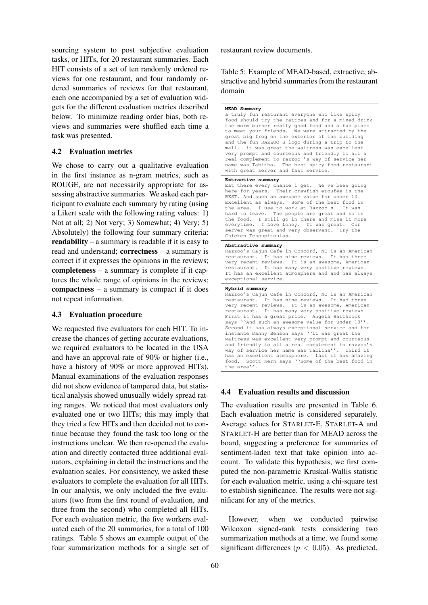sourcing system to post subjective evaluation tasks, or HITs, for 20 restaurant summaries. Each HIT consists of a set of ten randomly ordered reviews for one restaurant, and four randomly ordered summaries of reviews for that restaurant, each one accompanied by a set of evaluation widgets for the different evaluation metrics described below. To minimize reading order bias, both reviews and summaries were shuffled each time a task was presented.

#### 4.2 Evaluation metrics

We chose to carry out a qualitative evaluation in the first instance as n-gram metrics, such as ROUGE, are not necessarily appropriate for assessing abstractive summaries. We asked each participant to evaluate each summary by rating (using a Likert scale with the following rating values: 1) Not at all; 2) Not very; 3) Somewhat; 4) Very; 5) Absolutely) the following four summary criteria: readability – a summary is readable if it is easy to read and understand; correctness – a summary is correct if it expresses the opinions in the reviews; completeness – a summary is complete if it captures the whole range of opinions in the reviews; compactness – a summary is compact if it does not repeat information.

## 4.3 Evaluation procedure

We requested five evaluators for each HIT. To increase the chances of getting accurate evaluations, we required evaluators to be located in the USA and have an approval rate of 90% or higher (i.e., have a history of 90% or more approved HITs). Manual examinations of the evaluation responses did not show evidence of tampered data, but statistical analysis showed unusually widely spread rating ranges. We noticed that most evaluators only evaluated one or two HITs; this may imply that they tried a few HITs and then decided not to continue because they found the task too long or the instructions unclear. We then re-opened the evaluation and directly contacted three additional evaluators, explaining in detail the instructions and the evaluation scales. For consistency, we asked these evaluators to complete the evaluation for all HITs. In our analysis, we only included the five evaluators (two from the first round of evaluation, and three from the second) who completed all HITs. For each evaluation metric, the five workers evaluated each of the 20 summaries, for a total of 100 ratings. Table 5 shows an example output of the four summarization methods for a single set of restaurant review documents.

Table 5: Example of MEAD-based, extractive, abstractive and hybrid summaries from the restaurant domain

```
MEAD Summary
a truly fun resturant everyone who like spicy
food should try the rattoes and for a mixed drink
the worm burner really good food and a fun place
to meet your friends. We were attracted by the
great big frog on the exterior of the building
and the fun RAZZOO S logo during a trip to the
mall. it was great the waitress was excellent
very prompt and courteous and friendly to all a
real complement to razzoo 's way of service her
name was Tabitha. The best spicy food restaurant
with great server and fast service.
Extractive summary
Eat there every chance i get. We ve been going
here for years. Their crawfish etoufee is the
BEST. And such an awesome value for under 10.
Excellent as always. Some of the best food in<br>the area. I use to work at Razzoo s. It was
the area. I use to work at Razzoo s.
hard to leave. The people are great and so is
the food. I still go in there and miss it more
everytime. I Love Loney. It was great. Our
server was great and very observant. Try the
Chicken Tchoupitoulas.
Abstractive summary
Razzoo's Cajun Cafe in Concord, NC is an American
restaurant. It has nine reviews. It had three
very recent reviews. It is an awesome, American
restaurant. It has many very positive reviews.
It has an excellent atmosphere and and has always
exceptional service.
Hybrid summary
Razzoo's Cajun Cafe in Concord, NC is an American<br>restaurant. It has nine reviews. It had three
              It has nine reviews. It had three
very recent reviews. It is an awesome, American
restaurant. It has many very positive reviews.
First it has a great price. Angela Haithcock
says ''And such an awesome value for under 10''
Second it has always exceptional service and for
instance Danny Benson says ''it was great the
waitress was excellent very prompt and courteous
and friendly to all a real complement to razzoo's
way of service her name was Tabitha''. Third it
has an excellent atmosphere. Last it has amazing
food. Scott Kern says ''Some of the best food in
```
#### 4.4 Evaluation results and discussion

the area''.

The evaluation results are presented in Table 6. Each evaluation metric is considered separately. Average values for STARLET-E, STARLET-A and STARLET-H are better than for MEAD across the board, suggesting a preference for summaries of sentiment-laden text that take opinion into account. To validate this hypothesis, we first computed the non-parametric Kruskal-Wallis statistic for each evaluation metric, using a chi-square test to establish significance. The results were not significant for any of the metrics.

However, when we conducted pairwise Wilcoxon signed-rank tests considering two summarization methods at a time, we found some significant differences ( $p < 0.05$ ). As predicted,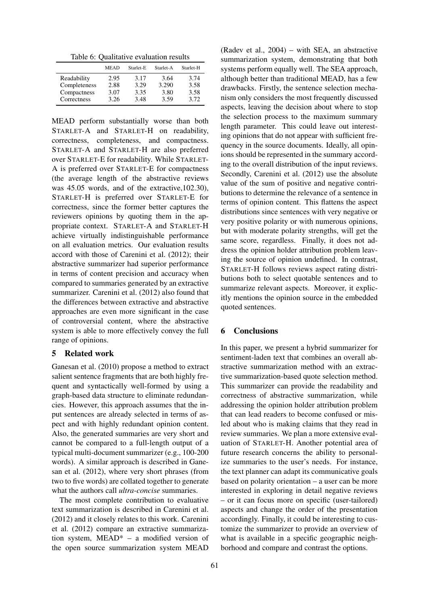Table 6: Qualitative evaluation results

|              | <b>MEAD</b> | Starlet-E | Starlet-A | Starlet-H |
|--------------|-------------|-----------|-----------|-----------|
| Readability  | 2.95        | 3.17      | 3.64      | 3.74      |
| Completeness | 2.88        | 3.29      | 3.290     | 3.58      |
| Compactness  | 3.07        | 3.35      | 3.80      | 3.58      |
| Correctness  | 3.26        | 3.48      | 3.59      | 3.72      |

MEAD perform substantially worse than both STARLET-A and STARLET-H on readability, correctness, completeness, and compactness. STARLET-A and STARLET-H are also preferred over STARLET-E for readability. While STARLET-A is preferred over STARLET-E for compactness (the average length of the abstractive reviews was 45.05 words, and of the extractive,102.30), STARLET-H is preferred over STARLET-E for correctness, since the former better captures the reviewers opinions by quoting them in the appropriate context. STARLET-A and STARLET-H achieve virtually indistinguishable performance on all evaluation metrics. Our evaluation results accord with those of Carenini et al. (2012); their abstractive summarizer had superior performance in terms of content precision and accuracy when compared to summaries generated by an extractive summarizer. Carenini et al. (2012) also found that the differences between extractive and abstractive approaches are even more significant in the case of controversial content, where the abstractive system is able to more effectively convey the full range of opinions.

## 5 Related work

Ganesan et al. (2010) propose a method to extract salient sentence fragments that are both highly frequent and syntactically well-formed by using a graph-based data structure to eliminate redundancies. However, this approach assumes that the input sentences are already selected in terms of aspect and with highly redundant opinion content. Also, the generated summaries are very short and cannot be compared to a full-length output of a typical multi-document summarizer (e.g., 100-200 words). A similar approach is described in Ganesan et al. (2012), where very short phrases (from two to five words) are collated together to generate what the authors call *ultra-concise* summaries.

The most complete contribution to evaluative text summarization is described in Carenini et al. (2012) and it closely relates to this work. Carenini et al. (2012) compare an extractive summarization system, MEAD\* – a modified version of the open source summarization system MEAD

(Radev et al., 2004) – with SEA, an abstractive summarization system, demonstrating that both systems perform equally well. The SEA approach, although better than traditional MEAD, has a few drawbacks. Firstly, the sentence selection mechanism only considers the most frequently discussed aspects, leaving the decision about where to stop the selection process to the maximum summary length parameter. This could leave out interesting opinions that do not appear with sufficient frequency in the source documents. Ideally, all opinions should be represented in the summary according to the overall distribution of the input reviews. Secondly, Carenini et al. (2012) use the absolute value of the sum of positive and negative contributions to determine the relevance of a sentence in terms of opinion content. This flattens the aspect distributions since sentences with very negative or very positive polarity or with numerous opinions, but with moderate polarity strengths, will get the same score, regardless. Finally, it does not address the opinion holder attribution problem leaving the source of opinion undefined. In contrast, STARLET-H follows reviews aspect rating distributions both to select quotable sentences and to summarize relevant aspects. Moreover, it explicitly mentions the opinion source in the embedded quoted sentences.

### 6 Conclusions

In this paper, we present a hybrid summarizer for sentiment-laden text that combines an overall abstractive summarization method with an extractive summarization-based quote selection method. This summarizer can provide the readability and correctness of abstractive summarization, while addressing the opinion holder attribution problem that can lead readers to become confused or misled about who is making claims that they read in review summaries. We plan a more extensive evaluation of STARLET-H. Another potential area of future research concerns the ability to personalize summaries to the user's needs. For instance, the text planner can adapt its communicative goals based on polarity orientation – a user can be more interested in exploring in detail negative reviews – or it can focus more on specific (user-tailored) aspects and change the order of the presentation accordingly. Finally, it could be interesting to customize the summarizer to provide an overview of what is available in a specific geographic neighborhood and compare and contrast the options.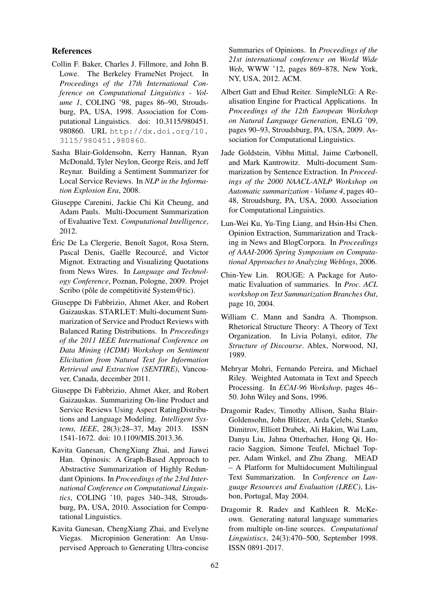## References

- Collin F. Baker, Charles J. Fillmore, and John B. Lowe. The Berkeley FrameNet Project. In *Proceedings of the 17th International Conference on Computational Linguistics - Volume 1*, COLING '98, pages 86–90, Stroudsburg, PA, USA, 1998. Association for Computational Linguistics. doi: 10.3115/980451. 980860. URL http://dx.doi.org/10. 3115/980451.980860.
- Sasha Blair-Goldensohn, Kerry Hannan, Ryan McDonald, Tyler Neylon, George Reis, and Jeff Reynar. Building a Sentiment Summarizer for Local Service Reviews. In *NLP in the Information Explosion Era*, 2008.
- Giuseppe Carenini, Jackie Chi Kit Cheung, and Adam Pauls. Multi-Document Summarization of Evaluative Text. *Computational Intelligence*, 2012.
- Éric De La Clergerie, Benoît Sagot, Rosa Stern, Pascal Denis, Gaëlle Recourcé, and Victor Mignot. Extracting and Visualizing Quotations from News Wires. In *Language and Technology Conference*, Poznan, Pologne, 2009. Projet Scribo (pôle de compétitivité System@tic).
- Giuseppe Di Fabbrizio, Ahmet Aker, and Robert Gaizauskas. STARLET: Multi-document Summarization of Service and Product Reviews with Balanced Rating Distributions. In *Proceedings of the 2011 IEEE International Conference on Data Mining (ICDM) Workshop on Sentiment Elicitation from Natural Text for Information Retrieval and Extraction (SENTIRE)*, Vancouver, Canada, december 2011.
- Giuseppe Di Fabbrizio, Ahmet Aker, and Robert Gaizauskas. Summarizing On-line Product and Service Reviews Using Aspect RatingDistributions and Language Modeling. *Intelligent Systems, IEEE*, 28(3):28–37, May 2013. ISSN 1541-1672. doi: 10.1109/MIS.2013.36.
- Kavita Ganesan, ChengXiang Zhai, and Jiawei Han. Opinosis: A Graph-Based Approach to Abstractive Summarization of Highly Redundant Opinions. In *Proceedings of the 23rd International Conference on Computational Linguistics*, COLING '10, pages 340–348, Stroudsburg, PA, USA, 2010. Association for Computational Linguistics.
- Kavita Ganesan, ChengXiang Zhai, and Evelyne Viegas. Micropinion Generation: An Unsupervised Approach to Generating Ultra-concise

Summaries of Opinions. In *Proceedings of the 21st international conference on World Wide Web*, WWW '12, pages 869–878, New York, NY, USA, 2012. ACM.

- Albert Gatt and Ehud Reiter. SimpleNLG: A Realisation Engine for Practical Applications. In *Proceedings of the 12th European Workshop on Natural Language Generation*, ENLG '09, pages 90–93, Stroudsburg, PA, USA, 2009. Association for Computational Linguistics.
- Jade Goldstein, Vibhu Mittal, Jaime Carbonell, and Mark Kantrowitz. Multi-document Summarization by Sentence Extraction. In *Proceedings of the 2000 NAACL-ANLP Workshop on Automatic summarization - Volume 4*, pages 40– 48, Stroudsburg, PA, USA, 2000. Association for Computational Linguistics.
- Lun-Wei Ku, Yu-Ting Liang, and Hsin-Hsi Chen. Opinion Extraction, Summarization and Tracking in News and BlogCorpora. In *Proceedings of AAAI-2006 Spring Symposium on Computational Approaches to Analyzing Weblogs*, 2006.
- Chin-Yew Lin. ROUGE: A Package for Automatic Evaluation of summaries. In *Proc. ACL workshop on Text Summarization Branches Out*, page 10, 2004.
- William C. Mann and Sandra A. Thompson. Rhetorical Structure Theory: A Theory of Text Organization. In Livia Polanyi, editor, *The Structure of Discourse*. Ablex, Norwood, NJ, 1989.
- Mehryar Mohri, Fernando Pereira, and Michael Riley. Weighted Automata in Text and Speech Processing. In *ECAI-96 Workshop*, pages 46– 50. John Wiley and Sons, 1996.
- Dragomir Radev, Timothy Allison, Sasha Blair-Goldensohn, John Blitzer, Arda Çelebi, Stanko Dimitrov, Elliott Drabek, Ali Hakim, Wai Lam, Danyu Liu, Jahna Otterbacher, Hong Qi, Horacio Saggion, Simone Teufel, Michael Topper, Adam Winkel, and Zhu Zhang. MEAD – A Platform for Multidocument Multilingual Text Summarization. In *Conference on Language Resources and Evaluation (LREC)*, Lisbon, Portugal, May 2004.
- Dragomir R. Radev and Kathleen R. McKeown. Generating natural language summaries from multiple on-line sources. *Computational Linguistiscs*, 24(3):470–500, September 1998. ISSN 0891-2017.